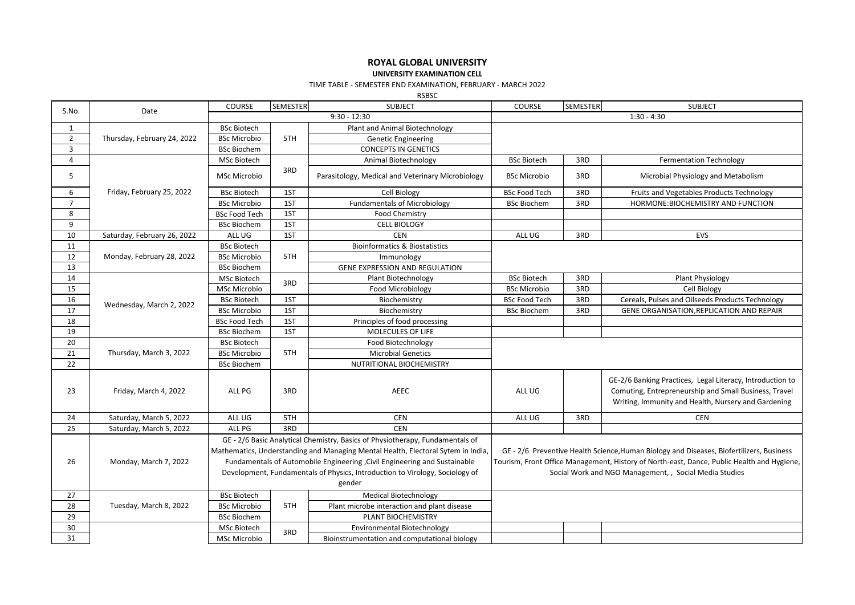# **ROYAL GLOBAL UNIVERSITY**

#### **UNIVERSITY EXAMINATION CELL**

### TIME TABLE - SEMESTER END EXAMINATION, FEBRUARY - MARCH 2022

RSBSC

| S.No.          | Date                        | COURSE               | SEMESTER | <b>SUBJECT</b>                                                                                                                                                                                                                                                                                                                            | COURSE                                                                                                                                                                                                                                           | <b>SEMESTER</b> | <b>SUBJECT</b>                                                                                                                                                            |  |
|----------------|-----------------------------|----------------------|----------|-------------------------------------------------------------------------------------------------------------------------------------------------------------------------------------------------------------------------------------------------------------------------------------------------------------------------------------------|--------------------------------------------------------------------------------------------------------------------------------------------------------------------------------------------------------------------------------------------------|-----------------|---------------------------------------------------------------------------------------------------------------------------------------------------------------------------|--|
|                |                             |                      |          | $9:30 - 12:30$                                                                                                                                                                                                                                                                                                                            |                                                                                                                                                                                                                                                  |                 | $1:30 - 4:30$                                                                                                                                                             |  |
| $\mathbf{1}$   |                             | <b>BSc Biotech</b>   |          | Plant and Animal Biotechnology                                                                                                                                                                                                                                                                                                            |                                                                                                                                                                                                                                                  |                 |                                                                                                                                                                           |  |
| $\overline{2}$ | Thursday, February 24, 2022 | <b>BSc Microbio</b>  | 5TH      | <b>Genetic Engineering</b>                                                                                                                                                                                                                                                                                                                |                                                                                                                                                                                                                                                  |                 |                                                                                                                                                                           |  |
| 3              |                             | <b>BSc Biochem</b>   |          | <b>CONCEPTS IN GENETICS</b>                                                                                                                                                                                                                                                                                                               |                                                                                                                                                                                                                                                  |                 |                                                                                                                                                                           |  |
| $\overline{4}$ |                             | MSc Biotech          |          | Animal Biotechnology                                                                                                                                                                                                                                                                                                                      | <b>BSc Biotech</b>                                                                                                                                                                                                                               | 3RD             | <b>Fermentation Technology</b>                                                                                                                                            |  |
| 5              |                             | <b>MSc Microbio</b>  | 3RD      | Parasitology, Medical and Veterinary Microbiology                                                                                                                                                                                                                                                                                         | <b>BSc Microbio</b>                                                                                                                                                                                                                              | 3RD             | Microbial Physiology and Metabolism                                                                                                                                       |  |
| 6              | Friday, February 25, 2022   | <b>BSc Biotech</b>   | 1ST      | Cell Biology                                                                                                                                                                                                                                                                                                                              | <b>BSc Food Tech</b>                                                                                                                                                                                                                             | 3RD             | Fruits and Vegetables Products Technology                                                                                                                                 |  |
| $\overline{7}$ |                             | <b>BSc Microbio</b>  | 1ST      | <b>Fundamentals of Microbiology</b>                                                                                                                                                                                                                                                                                                       | <b>BSc Biochem</b>                                                                                                                                                                                                                               | 3RD             | HORMONE: BIOCHEMISTRY AND FUNCTION                                                                                                                                        |  |
| 8              |                             | <b>BSc Food Tech</b> | 1ST      | <b>Food Chemistry</b>                                                                                                                                                                                                                                                                                                                     |                                                                                                                                                                                                                                                  |                 |                                                                                                                                                                           |  |
| 9              |                             | <b>BSc Biochem</b>   | 1ST      | <b>CELL BIOLOGY</b>                                                                                                                                                                                                                                                                                                                       |                                                                                                                                                                                                                                                  |                 |                                                                                                                                                                           |  |
| 10             | Saturday, February 26, 2022 | ALL UG               | 1ST      | <b>CEN</b>                                                                                                                                                                                                                                                                                                                                | ALL UG                                                                                                                                                                                                                                           | 3RD             | <b>EVS</b>                                                                                                                                                                |  |
| 11             |                             | <b>BSc Biotech</b>   |          | <b>Bioinformatics &amp; Biostatistics</b>                                                                                                                                                                                                                                                                                                 |                                                                                                                                                                                                                                                  |                 |                                                                                                                                                                           |  |
| 12             | Monday, February 28, 2022   | <b>BSc Microbio</b>  | 5TH      | Immunology                                                                                                                                                                                                                                                                                                                                |                                                                                                                                                                                                                                                  |                 |                                                                                                                                                                           |  |
| 13             |                             | <b>BSc Biochem</b>   |          | GENE EXPRESSION AND REGULATION                                                                                                                                                                                                                                                                                                            |                                                                                                                                                                                                                                                  |                 |                                                                                                                                                                           |  |
| 14             |                             | MSc Biotech          | 3RD      | Plant Biotechnology                                                                                                                                                                                                                                                                                                                       | <b>BSc Biotech</b>                                                                                                                                                                                                                               | 3RD             | Plant Physiology                                                                                                                                                          |  |
| 15             |                             | MSc Microbio         |          | Food Microbiology                                                                                                                                                                                                                                                                                                                         | <b>BSc Microbio</b>                                                                                                                                                                                                                              | 3RD             | Cell Biology                                                                                                                                                              |  |
| 16             |                             | <b>BSc Biotech</b>   | 1ST      | Biochemistry                                                                                                                                                                                                                                                                                                                              | <b>BSc Food Tech</b>                                                                                                                                                                                                                             | 3RD             | Cereals, Pulses and Oilseeds Products Technology                                                                                                                          |  |
| 17             | Wednesday, March 2, 2022    | <b>BSc Microbio</b>  | 1ST      | Biochemistry                                                                                                                                                                                                                                                                                                                              | <b>BSc Biochem</b>                                                                                                                                                                                                                               | 3RD             | GENE ORGANISATION, REPLICATION AND REPAIR                                                                                                                                 |  |
| 18             |                             | <b>BSc Food Tech</b> | 1ST      | Principles of food processing                                                                                                                                                                                                                                                                                                             |                                                                                                                                                                                                                                                  |                 |                                                                                                                                                                           |  |
| 19             |                             | <b>BSc Biochem</b>   | 1ST      | MOLECULES OF LIFE                                                                                                                                                                                                                                                                                                                         |                                                                                                                                                                                                                                                  |                 |                                                                                                                                                                           |  |
| 20             |                             | <b>BSc Biotech</b>   |          | Food Biotechnology                                                                                                                                                                                                                                                                                                                        |                                                                                                                                                                                                                                                  |                 |                                                                                                                                                                           |  |
| 21             | Thursday, March 3, 2022     | <b>BSc Microbio</b>  | 5TH      | <b>Microbial Genetics</b>                                                                                                                                                                                                                                                                                                                 |                                                                                                                                                                                                                                                  |                 |                                                                                                                                                                           |  |
| 22             |                             | <b>BSc Biochem</b>   |          | NUTRITIONAL BIOCHEMISTRY                                                                                                                                                                                                                                                                                                                  |                                                                                                                                                                                                                                                  |                 |                                                                                                                                                                           |  |
| 23             | Friday, March 4, 2022       | ALL PG               | 3RD      | AEEC                                                                                                                                                                                                                                                                                                                                      | ALL UG                                                                                                                                                                                                                                           |                 | GE-2/6 Banking Practices, Legal Literacy, Introduction to<br>Comuting, Entrepreneurship and Small Business, Travel<br>Writing, Immunity and Health, Nursery and Gardening |  |
| 24             | Saturday, March 5, 2022     | ALL UG               | 5TH      | <b>CEN</b>                                                                                                                                                                                                                                                                                                                                | ALL UG                                                                                                                                                                                                                                           | 3RD             | <b>CEN</b>                                                                                                                                                                |  |
| 25             | Saturday, March 5, 2022     | ALL PG               | 3RD      | <b>CEN</b>                                                                                                                                                                                                                                                                                                                                |                                                                                                                                                                                                                                                  |                 |                                                                                                                                                                           |  |
| 26             | Monday, March 7, 2022       |                      |          | GE - 2/6 Basic Analytical Chemistry, Basics of Physiotherapy, Fundamentals of<br>Mathematics, Understanding and Managing Mental Health, Electoral Sytem in India,<br>Fundamentals of Automobile Engineering , Civil Engineering and Sustainable<br>Development, Fundamentals of Physics, Introduction to Virology, Sociology of<br>gender | GE - 2/6 Preventive Health Science, Human Biology and Diseases, Biofertilizers, Business<br>Tourism, Front Office Management, History of North-east, Dance, Public Health and Hygiene,<br>Social Work and NGO Management, , Social Media Studies |                 |                                                                                                                                                                           |  |
| 27             |                             | <b>BSc Biotech</b>   |          | <b>Medical Biotechnology</b>                                                                                                                                                                                                                                                                                                              |                                                                                                                                                                                                                                                  |                 |                                                                                                                                                                           |  |
| 28             | Tuesday, March 8, 2022      | <b>BSc Microbio</b>  | 5TH      | Plant microbe interaction and plant disease                                                                                                                                                                                                                                                                                               |                                                                                                                                                                                                                                                  |                 |                                                                                                                                                                           |  |
| 29             |                             | <b>BSc Biochem</b>   |          | PLANT BIOCHEMISTRY                                                                                                                                                                                                                                                                                                                        |                                                                                                                                                                                                                                                  |                 |                                                                                                                                                                           |  |
| 30             |                             | MSc Biotech          | 3RD      | Environmental Biotechnology                                                                                                                                                                                                                                                                                                               |                                                                                                                                                                                                                                                  |                 |                                                                                                                                                                           |  |
| 31             |                             | MSc Microbio         |          | Bioinstrumentation and computational biology                                                                                                                                                                                                                                                                                              |                                                                                                                                                                                                                                                  |                 |                                                                                                                                                                           |  |